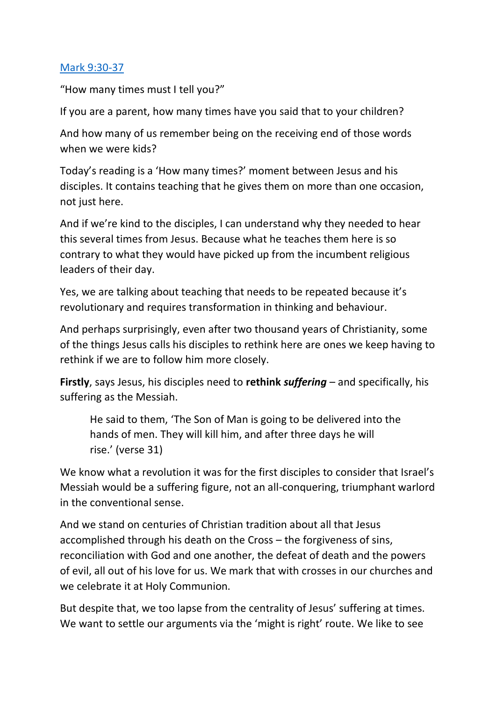## [Mark 9:30-37](https://www.biblegateway.com/passage/?search=Mark+9%3A30-37&version=NIVUK)

"How many times must I tell you?"

If you are a parent, how many times have you said that to your children?

And how many of us remember being on the receiving end of those words when we were kids?

Today's reading is a 'How many times?' moment between Jesus and his disciples. It contains teaching that he gives them on more than one occasion, not just here.

And if we're kind to the disciples, I can understand why they needed to hear this several times from Jesus. Because what he teaches them here is so contrary to what they would have picked up from the incumbent religious leaders of their day.

Yes, we are talking about teaching that needs to be repeated because it's revolutionary and requires transformation in thinking and behaviour.

And perhaps surprisingly, even after two thousand years of Christianity, some of the things Jesus calls his disciples to rethink here are ones we keep having to rethink if we are to follow him more closely.

**Firstly**, says Jesus, his disciples need to **rethink** *suffering* – and specifically, his suffering as the Messiah.

He said to them, 'The Son of Man is going to be delivered into the hands of men. They will kill him, and after three days he will rise.' (verse 31)

We know what a revolution it was for the first disciples to consider that Israel's Messiah would be a suffering figure, not an all-conquering, triumphant warlord in the conventional sense.

And we stand on centuries of Christian tradition about all that Jesus accomplished through his death on the Cross – the forgiveness of sins, reconciliation with God and one another, the defeat of death and the powers of evil, all out of his love for us. We mark that with crosses in our churches and we celebrate it at Holy Communion.

But despite that, we too lapse from the centrality of Jesus' suffering at times. We want to settle our arguments via the 'might is right' route. We like to see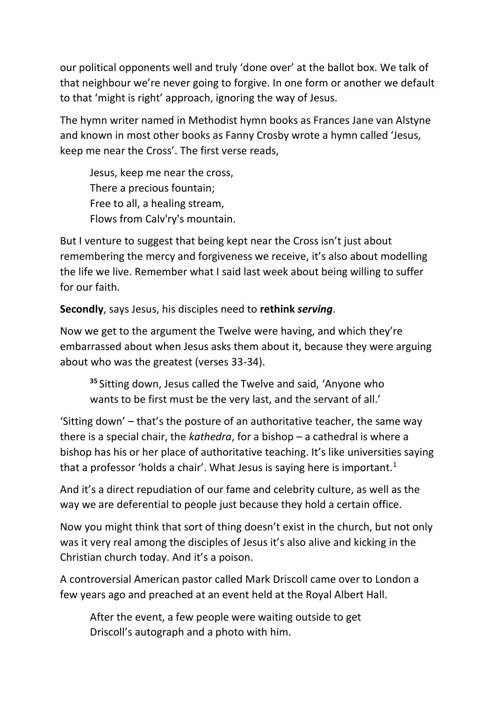our political opponents well and truly 'done over' at the ballot box. We talk of that neighbour we're never going to forgive. In one form or another we default to that 'might is right' approach, ignoring the way of Jesus.

The hymn writer named in Methodist hymn books as Frances Jane van Alstyne and known in most other books as Fanny Crosby wrote a hymn called 'Jesus, keep me near the Cross'. The first verse reads,

Jesus, keep me near the cross, There a precious fountain; Free to all, a healing stream, Flows from Calv'ry's mountain.

But I venture to suggest that being kept near the Cross isn't just about remembering the mercy and forgiveness we receive, it's also about modelling the life we live. Remember what I said last week about being willing to suffer for our faith.

**Secondly**, says Jesus, his disciples need to **rethink** *serving*.

Now we get to the argument the Twelve were having, and which they're embarrassed about when Jesus asks them about it, because they were arguing about who was the greatest (verses 33-34).

**<sup>35</sup>** Sitting down, Jesus called the Twelve and said, 'Anyone who wants to be first must be the very last, and the servant of all.'

'Sitting down' – that's the posture of an authoritative teacher, the same way there is a special chair, the *kathedra*, for a bishop – a cathedral is where a bishop has his or her place of authoritative teaching. It's like universities saying that a professor 'holds a chair'. What Jesus is saying here is important. $1$ 

And it's a direct repudiation of our fame and celebrity culture, as well as the way we are deferential to people just because they hold a certain office.

Now you might think that sort of thing doesn't exist in the church, but not only was it very real among the disciples of Jesus it's also alive and kicking in the Christian church today. And it's a poison.

A controversial American pastor called Mark Driscoll came over to London a few years ago and preached at an event held at the Royal Albert Hall.

After the event, a few people were waiting outside to get Driscoll's autograph and a photo with him.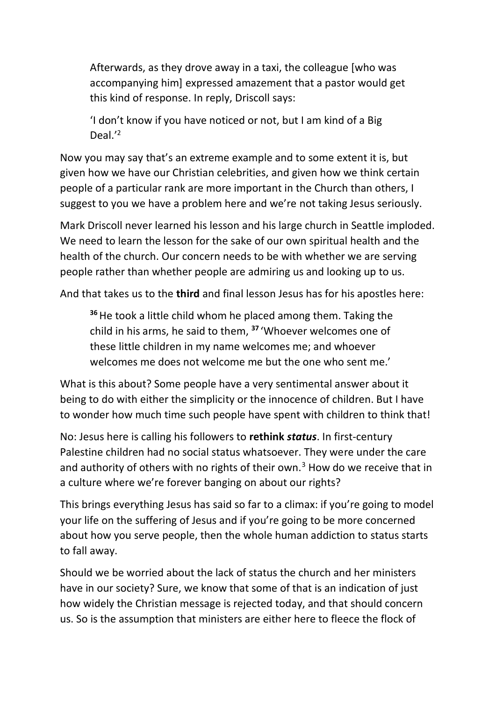Afterwards, as they drove away in a taxi, the colleague [who was accompanying him] expressed amazement that a pastor would get this kind of response. In reply, Driscoll says:

'I don't know if you have noticed or not, but I am kind of a Big Deal.' 2

Now you may say that's an extreme example and to some extent it is, but given how we have our Christian celebrities, and given how we think certain people of a particular rank are more important in the Church than others, I suggest to you we have a problem here and we're not taking Jesus seriously.

Mark Driscoll never learned his lesson and his large church in Seattle imploded. We need to learn the lesson for the sake of our own spiritual health and the health of the church. Our concern needs to be with whether we are serving people rather than whether people are admiring us and looking up to us.

And that takes us to the **third** and final lesson Jesus has for his apostles here:

**<sup>36</sup>**He took a little child whom he placed among them. Taking the child in his arms, he said to them, **<sup>37</sup>** 'Whoever welcomes one of these little children in my name welcomes me; and whoever welcomes me does not welcome me but the one who sent me.'

What is this about? Some people have a very sentimental answer about it being to do with either the simplicity or the innocence of children. But I have to wonder how much time such people have spent with children to think that!

No: Jesus here is calling his followers to **rethink** *status*. In first-century Palestine children had no social status whatsoever. They were under the care and authority of others with no rights of their own.<sup>3</sup> How do we receive that in a culture where we're forever banging on about our rights?

This brings everything Jesus has said so far to a climax: if you're going to model your life on the suffering of Jesus and if you're going to be more concerned about how you serve people, then the whole human addiction to status starts to fall away.

Should we be worried about the lack of status the church and her ministers have in our society? Sure, we know that some of that is an indication of just how widely the Christian message is rejected today, and that should concern us. So is the assumption that ministers are either here to fleece the flock of